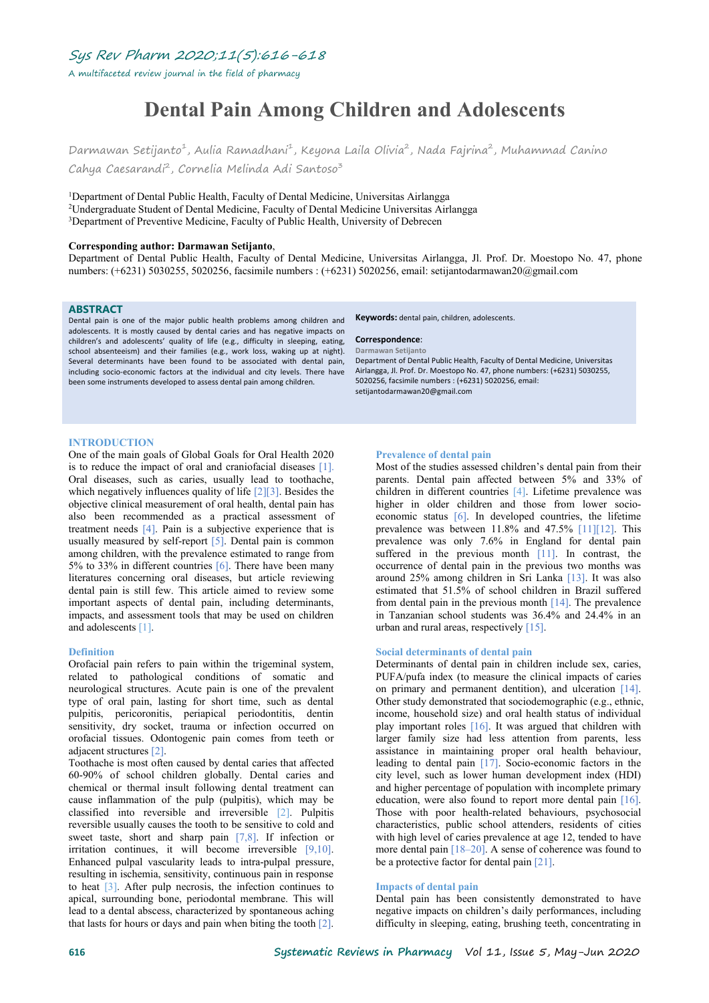Sys Rev Pharm 2020;11(5):616-618

A multifaceted review journal in the field of pharmacy

# **Dental Pain Among Children and Adolescents**

Darmawan Setijanto<sup>1</sup>, Aulia Ramadhani<sup>1</sup>, Keyona Laila Olivia<sup>2</sup>, Nada Fajrina<sup>2</sup>, Muhammad Canino Cahya Caesarandi<sup>2</sup>, Cornelia Melinda Adi Santoso<sup>3</sup> 3

<sup>1</sup>Department of Dental Public Health, Faculty of Dental Medicine, Universitas Airlangga <sup>2</sup>Undergraduate Student of Dental Medicine, Faculty of Dental Medicine Universitas Airlangga <sup>3</sup>Department of Preventive Medicine, Faculty of Public Health, University of Debrecen

#### **Corresponding author: Darmawan Setijanto**,

Department of Dental Public Health, Faculty of Dental Medicine, Universitas Airlangga, Jl. Prof. Dr. Moestopo No. 47, phone numbers: (+6231) 5030255, 5020256, facsimile numbers : (+6231) 5020256, email: setijantodarmawan20@gmail.com

## **ABSTRACT**

Dental pain is one of the major public health problems among children and adolescents. It is mostly caused by dental caries and has negative impacts on children's and adolescents' quality of life (e.g., difficulty in sleeping, eating, school absenteeism) and their families (e.g., work loss, waking up at night). Several determinants have been found to be associated with dental pain, including socio-economic factors at the individual and city levels. There have been some instruments developed to assess dental pain among children.

**Keywords:** dental pain, children, adolescents.

#### **Correspondence**: **Darmawan Setijanto**

Department of Dental Public Health, Faculty of Dental Medicine, Universitas Airlangga, Jl. Prof. Dr. Moestopo No. 47, phone numbers: (+6231) 5030255, 5020256, facsimile numbers :(+6231) 5020256, email: setijantodarmawan20@gmail.com

## **INTRODUCTION**

One of the main goals of Global Goals for Oral Health 2020 is to reduce the impact of oral and craniofacial diseases [1]. Oral diseases, such as caries, usually lead to toothache, which negatively influences quality of life [2][3]. Besides the objective clinical measurement of oral health, dental pain has also been recommended as a practical assessment of treatment needs [4]. Pain is a subjective experience that is usually measured by self-report  $[5]$ . Dental pain is common among children, with the prevalence estimated to range from 5% to 33% in different countries [6]. There have been many literatures concerning oral diseases, but article reviewing dental pain is still few. This article aimed to review some important aspects of dental pain, including determinants, impacts, and assessment tools that may be used on children and adolescents [1].

#### **Definition**

Orofacial pain refers to pain within the trigeminal system, related to pathological conditions of somatic and neurological structures. Acute pain is one of the prevalent type of oral pain, lasting for short time, such as dental pulpitis, pericoronitis, periapical periodontitis, dentin sensitivity, dry socket, trauma or infection occurred on orofacial tissues. Odontogenic pain comes from teeth or adjacent structures [2].

Toothache is most often caused by dental caries that affected 60-90% of school children globally. Dental caries and chemical or thermal insult following dental treatment can cause inflammation of the pulp (pulpitis), which may be classified into reversible and irreversible [2]. Pulpitis reversible usually causes the tooth to be sensitive to cold and sweet taste, short and sharp pain [7,8]. If infection or irritation continues, it will become irreversible [9,10]. Enhanced pulpal vascularity leads to intra-pulpal pressure, resulting in ischemia, sensitivity, continuous pain in response to heat  $\lceil 3 \rceil$ . After pulp necrosis, the infection continues to apical, surrounding bone, periodontal membrane. This will lead to a dental abscess, characterized by spontaneous aching that lasts for hours or days and pain when biting the tooth  $[2]$ .

### **Prevalence of dental pain**

Most of the studies assessed children's dental pain from their parents. Dental pain affected between 5% and 33% of children in different countries [4]. Lifetime prevalence was higher in older children and those from lower socio economic status [6]. In developed countries, the lifetime prevalence was between 11.8% and 47.5% [11][12]. This prevalence was only 7.6% in England for dental pain suffered in the previous month [11]. In contrast, the occurrence of dental pain in the previous two months was around 25% among children in Sri Lanka [13]. It was also estimated that 51.5% of school children in Brazil suffered from dental pain in the previous month  $[14]$ . The prevalence in Tanzanian school students was 36.4% and 24.4% in an urban and rural areas, respectively [15].

#### **Social determinants of dental pain**

Determinants of dental pain in children include sex, caries, PUFA/pufa index (to measure the clinical impacts of caries on primary and permanent dentition), and ulceration [14]. Other study demonstrated that sociodemographic (e.g., ethnic, income, household size) and oral health status of individual play important roles  $[16]$ . It was argued that children with larger family size had less attention from parents, less assistance in maintaining proper oral health behaviour, leading to dental pain [17]. Socio-economic factors in the city level, such as lower human development index (HDI) and higher percentage of population with incomplete primary education, were also found to report more dental pain [16]. Those with poor health-related behaviours, psychosocial characteristics, public school attenders, residents of cities with high level of caries prevalence at age 12, tended to have more dental pain [18–20]. A sense of coherence was found to be a protective factor for dental pain [21].

### **Impacts** of dental pain

Dental pain has been consistently demonstrated to have negative impacts on children's daily performances, including difficulty in sleeping, eating, brushing teeth, concentrating in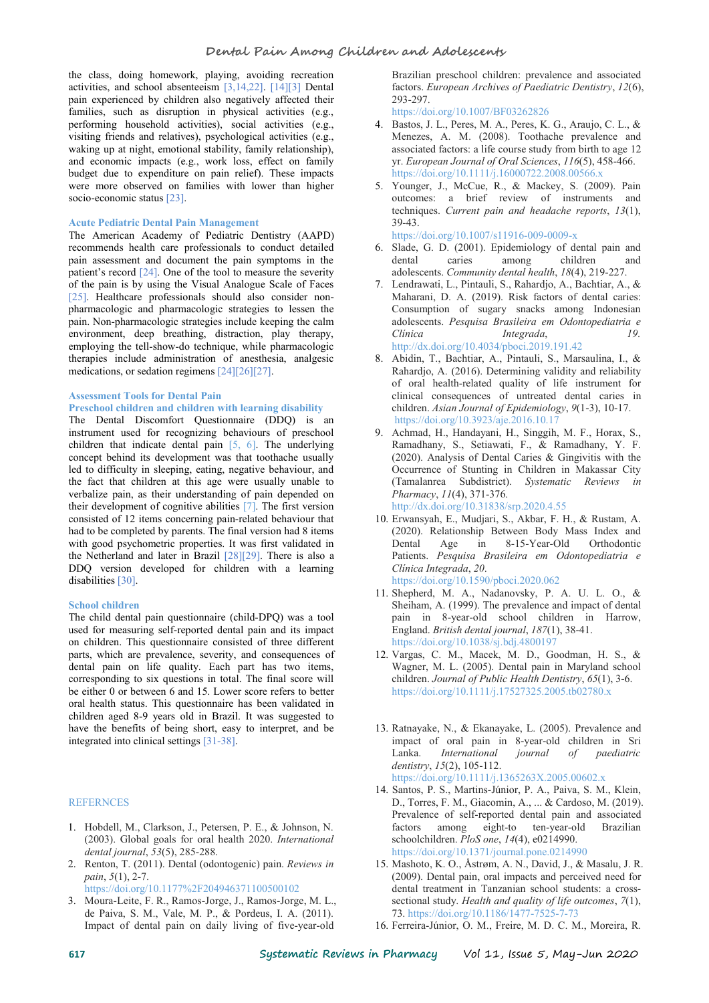the class, doing homework, playing, avoiding recreation activities, and school absenteeism [3,14,22]. [14][3] Dental pain experienced by children also negatively affected their families, such as disruption in physical activities (e.g., performing household activities), social activities (e.g., visiting friends and relatives), psychological activities (e.g., waking up at night, emotional stability, family relationship), and economic impacts (e.g., work loss, effect on family budget due to expenditure on pain relief). These impacts were more observed on families with lower than higher socio-economic status [23].

#### **Acute Pediatric Dental Pain Management**

The American Academy of Pediatric Dentistry (AAPD) recommends health care professionals to conduct detailed pain assessment and document the pain symptoms in the patient's record [24]. One of the tool to measure the severity of the pain is by using the Visual Analogue Scale of Faces [25]. Healthcare professionals should also consider nonpharmacologic and pharmacologic strategies to lessen the pain. Non-pharmacologic strategies include keeping the calm environment, deep breathing, distraction, play therapy, Clinica employing the tell-show-do technique, while pharmacologic therapies include administration of anesthesia, analgesic medications, or sedation regimens [24][26][27].

## **Assessment Tools for Dental Pain**

## **Preschool children and children with learning disability**

The Dental Discomfort Questionnaire (DDQ) is an instrument used for recognizing behaviours of preschool children that indicate dental pain  $[5, 6]$ . The underlying concept behind its development was that toothache usually led to difficulty in sleeping, eating, negative behaviour, and the fact that children at this age were usually unable to verbalize pain, as their understanding of pain depended on their development of cognitive abilities [7]. The first version consisted of 12 items concerning pain-related behaviour that had to be completed by parents. The final version had 8 items with good psychometric properties. It was first validated in the Netherland and later in Brazil  $[28][29]$ . There is also a DDQ version developed for children with a learning disabilities [30].

## **School children**

The child dental pain questionnaire (child-DPQ) was a tool used for measuring self-reported dental pain and its impact on children. This questionnaire consisted of three different parts, which are prevalence, severity, and consequences of dental pain on life quality. Each part has two items, corresponding to six questions in total. The final score will be either 0 or between 6 and 15. Lower score refers to better oral health status. This questionnaire has been validated in children aged 8-9 years old in Brazil. Itwas suggested to have the benefits of being short, easy to interpret, and be integrated into clinical settings [31-38].

## **REFERNCES**

- 1. Hobdell, M., Clarkson, J., Petersen, P. E., & Johnson, N. (2003). Global goals for oral health 2020. *International dental journal*, *53*(5), 285-288.
- 2. Renton, T. (2011). Dental (odontogenic) pain. *Reviews in pain*, *5*(1), 2-7. https://doi.org/10.1177%2F204946371100500102
- 3. Moura-Leite, F. R., Ramos-Jorge, J., Ramos-Jorge, M. L., de Paiva, S. M., Vale, M. P., & Pordeus, I. A. (2011). Impact of dental pain on daily living of five-year-old

Brazilian preschool children: prevalence and associated factors. *European Archives of Paediatric Dentistry*, *12*(6), 293-297.

https://doi.org/10.1007/BF03262826

- 4. Bastos, J. L., Peres, M. A., Peres, K. G., Araujo, C. L., & Menezes, A. M. (2008). Toothache prevalence and associated factors: a life course study from birth to age 12 yr. *European Journal of Oral Sciences*, *116*(5), 458-466. https://doi.org/10.1111/j.16000722.2008.00566.x
- 5. Younger, J., McCue, R., & Mackey, S. (2009). Pain outcomes: a brief review of instruments and techniques. *Current pain and headache reports*,*13*(1), 39-43.

https://doi.org/10.1007/s11916-009-0009-x

- 6. Slade, G. D. (2001). Epidemiology of dental pain and dental caries among children and adolescents. *Community dental health*, *18*(4), 219-227.
- 7. Lendrawati, L., Pintauli, S., Rahardjo, A., Bachtiar, A., & Maharani, D. A. (2019). Risk factors of dental caries: Consumption of sugary snacks among Indonesian adolescents. *Pesquisa Brasileira em Odontopediatria e Clínica Integrada*, *19*. http://dx.doi.org/10.4034/pboci.2019.191.42
- 8. Abidin, T., Bachtiar, A., Pintauli, S., Marsaulina, I., & Rahardjo, A. (2016). Determining validity and reliability of oral health-related quality of life instrument for clinical consequences of untreated dental caries in children. *Asian Journal of Epidemiology*, *9*(1-3), 10-17. https://doi.org/10.3923/aje.2016.10.17
- 9. Achmad, H., Handayani, H., Singgih, M. F., Horax, S., Ramadhany, S., Setiawati, F., & Ramadhany, Y. F. (2020). Analysis of Dental Caries & Gingivitis with the Occurrence of Stunting in Children in Makassar City (Tamalanrea Subdistrict). *Systematic Reviews in Pharmacy*, *11*(4), 371-376. http://dx.doi.org/10.31838/srp.2020.4.55
- 10. Erwansyah, E., Mudjari, S., Akbar, F. H., & Rustam, A. (2020). Relationship Between Body Mass Index and Age in 8-15-Year-Old Orthodontic Patients. *Pesquisa Brasileira em Odontopediatria e Clínica Integrada*, *20*. https://doi.org/10.1590/pboci.2020.062
- 11. Shepherd, M. A., Nadanovsky, P. A. U. L. O., & Sheiham, A. (1999). The prevalence and impact of dental pain in 8-year-old school children in Harrow, England. *British dental journal*, *187*(1), 38-41. https://doi.org/10.1038/sj.bdj.4800197
- 12. Vargas, C. M., Macek, M. D., Goodman, H. S., & Wagner, M. L. (2005). Dental pain in Maryland school children. *Journal of Public Health Dentistry*, *65*(1), 3-6. https://doi.org/10.1111/j.17527325.2005.tb02780.x
- 13. Ratnayake, N., & Ekanayake, L. (2005). Prevalence and impact of oral pain in 8‐year‐old children in Sri Lanka. *International journal of paediatric dentistry*, *15*(2), 105-112. https://doi.org/10.1111/j.1365263X.2005.00602.x
- 14. Santos, P. S., Martins-Júnior, P. A., Paiva, S. M., Klein, D., Torres, F. M., Giacomin, A., ... & Cardoso, M. (2019). Prevalence of self-reported dental pain and associated factors among eight-to ten-year-old Brazilian schoolchildren. *PloS one*, *14*(4), e0214990. https://doi.org/10.1371/journal.pone.0214990
- 15. Mashoto, K. O., Åstrøm, A. N., David, J., & Masalu, J. R. (2009). Dental pain, oral impacts and perceived need for dental treatment in Tanzanian school students: a cross sectional study. *Health and quality of life outcomes*, *7*(1), 73. https://doi.org/10.1186/1477-7525-7-73
- 16. Ferreira‐Júnior, O. M., Freire, M. D. C. M., Moreira, R.